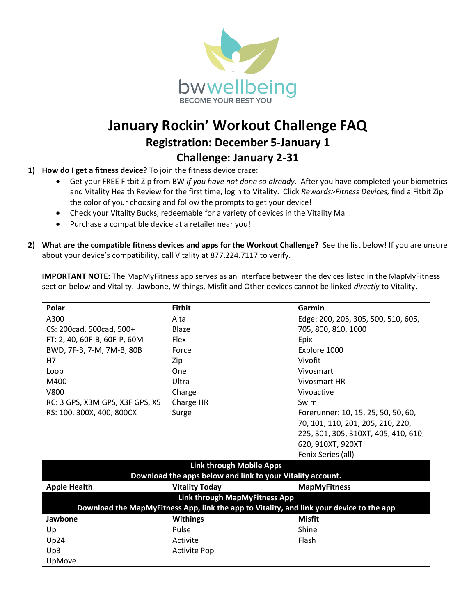

## **January Rockin' Workout Challenge FAQ Registration: December 5-January 1 Challenge: January 2-31**

- **1) How do I get a fitness device?** To join the fitness device craze:
	- Get your FREE Fitbit Zip from BW *if you have not done so already*. After you have completed your biometrics and Vitality Health Review for the first time, login to Vitality. Click *Rewards>Fitness Devices,* find a Fitbit Zip the color of your choosing and follow the prompts to get your device!
	- Check your Vitality Bucks, redeemable for a variety of devices in the Vitality Mall.
	- Purchase a compatible device at a retailer near you!
- **2) What are the compatible fitness devices and apps for the Workout Challenge?** See the list below! If you are unsure about your device's compatibility, call Vitality at 877.224.7117 to verify.

**IMPORTANT NOTE:** The MapMyFitness app serves as an interface between the devices listed in the MapMyFitness section below and Vitality. Jawbone, Withings, Misfit and Other devices cannot be linked *directly* to Vitality.

| Polar                                                                                    | <b>Fitbit</b>         | Garmin                               |
|------------------------------------------------------------------------------------------|-----------------------|--------------------------------------|
| A300                                                                                     | Alta                  | Edge: 200, 205, 305, 500, 510, 605,  |
| CS: 200cad, 500cad, 500+                                                                 | Blaze                 | 705, 800, 810, 1000                  |
| FT: 2, 40, 60F-B, 60F-P, 60M-                                                            | <b>Flex</b>           | Epix                                 |
| BWD, 7F-B, 7-M, 7M-B, 80B                                                                | Force                 | Explore 1000                         |
| H7                                                                                       | Zip                   | Vivofit                              |
| Loop                                                                                     | One                   | Vivosmart                            |
| M400                                                                                     | Ultra                 | Vivosmart HR                         |
| V800                                                                                     | Charge                | Vivoactive                           |
| RC: 3 GPS, X3M GPS, X3F GPS, X5                                                          | Charge HR             | Swim                                 |
| RS: 100, 300X, 400, 800CX                                                                | Surge                 | Forerunner: 10, 15, 25, 50, 50, 60,  |
|                                                                                          |                       | 70, 101, 110, 201, 205, 210, 220,    |
|                                                                                          |                       | 225, 301, 305, 310XT, 405, 410, 610, |
|                                                                                          |                       | 620, 910XT, 920XT                    |
|                                                                                          |                       | Fenix Series (all)                   |
| <b>Link through Mobile Apps</b>                                                          |                       |                                      |
| Download the apps below and link to your Vitality account.                               |                       |                                      |
| <b>Apple Health</b>                                                                      | <b>Vitality Today</b> | <b>MapMyFitness</b>                  |
| Link through MapMyFitness App                                                            |                       |                                      |
| Download the MapMyFitness App, link the app to Vitality, and link your device to the app |                       |                                      |
| Jawbone                                                                                  | <b>Withings</b>       | <b>Misfit</b>                        |
| Up                                                                                       | Pulse                 | Shine                                |
| Up24                                                                                     | Activite              | Flash                                |
| Up3                                                                                      | <b>Activite Pop</b>   |                                      |
| UpMove                                                                                   |                       |                                      |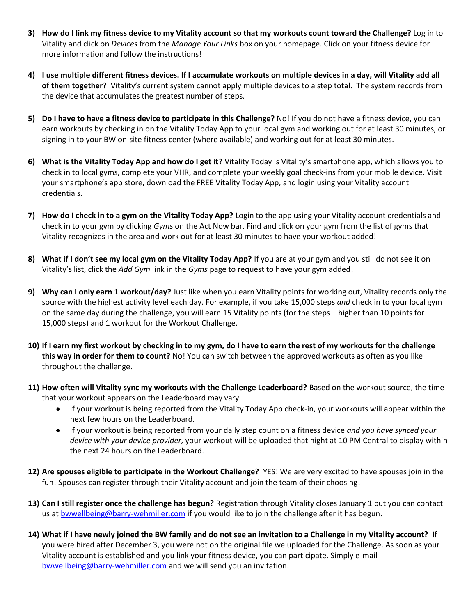- **3) How do I link my fitness device to my Vitality account so that my workouts count toward the Challenge?** Log in to Vitality and click on *Devices* from the *Manage Your Links* box on your homepage. Click on your fitness device for more information and follow the instructions!
- **4) I use multiple different fitness devices. If I accumulate workouts on multiple devices in a day, will Vitality add all of them together?** Vitality's current system cannot apply multiple devices to a step total. The system records from the device that accumulates the greatest number of steps.
- **5) Do I have to have a fitness device to participate in this Challenge?** No! If you do not have a fitness device, you can earn workouts by checking in on the Vitality Today App to your local gym and working out for at least 30 minutes, or signing in to your BW on-site fitness center (where available) and working out for at least 30 minutes.
- **6) What is the Vitality Today App and how do I get it?** Vitality Today is Vitality's smartphone app, which allows you to check in to local gyms, complete your VHR, and complete your weekly goal check-ins from your mobile device. Visit your smartphone's app store, download the FREE Vitality Today App, and login using your Vitality account credentials.
- **7) How do I check in to a gym on the Vitality Today App?** Login to the app using your Vitality account credentials and check in to your gym by clicking *Gyms* on the Act Now bar. Find and click on your gym from the list of gyms that Vitality recognizes in the area and work out for at least 30 minutes to have your workout added!
- **8) What if I don't see my local gym on the Vitality Today App?** If you are at your gym and you still do not see it on Vitality's list, click the *Add Gym* link in the *Gyms* page to request to have your gym added!
- **9) Why can I only earn 1 workout/day?** Just like when you earn Vitality points for working out, Vitality records only the source with the highest activity level each day. For example, if you take 15,000 steps *and* check in to your local gym on the same day during the challenge, you will earn 15 Vitality points (for the steps – higher than 10 points for 15,000 steps) and 1 workout for the Workout Challenge.
- **10) If I earn my first workout by checking in to my gym, do I have to earn the rest of my workouts for the challenge this way in order for them to count?** No! You can switch between the approved workouts as often as you like throughout the challenge.
- **11) How often will Vitality sync my workouts with the Challenge Leaderboard?** Based on the workout source, the time that your workout appears on the Leaderboard may vary.
	- If your workout is being reported from the Vitality Today App check-in, your workouts will appear within the next few hours on the Leaderboard.
	- If your workout is being reported from your daily step count on a fitness device *and you have synced your device with your device provider,* your workout will be uploaded that night at 10 PM Central to display within the next 24 hours on the Leaderboard.
- **12) Are spouses eligible to participate in the Workout Challenge?** YES! We are very excited to have spouses join in the fun! Spouses can register through their Vitality account and join the team of their choosing!
- **13) Can I still register once the challenge has begun?** Registration through Vitality closes January 1 but you can contact us at [bwwellbeing@barry-wehmiller.com](mailto:bwwellbeing@barry-wehmiller.com) if you would like to join the challenge after it has begun.
- **14) What if I have newly joined the BW family and do not see an invitation to a Challenge in my Vitality account?** If you were hired after December 3, you were not on the original file we uploaded for the Challenge. As soon as your Vitality account is established and you link your fitness device, you can participate. Simply e-mail [bwwellbeing@barry-wehmiller.com](mailto:bwwellbeing@barry-wehmiller.com) and we will send you an invitation.